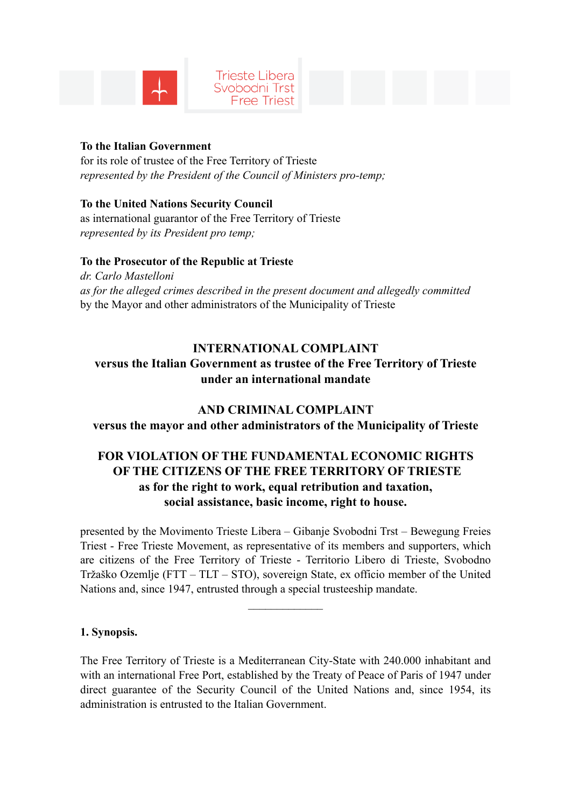

#### **Trieste Libera** Svobodni Trst **Free Triest**

### **To the Italian Government**

for its role of trustee of the Free Territory of Trieste *represented by the President of the Council of Ministers pro-temp;* 

**To the United Nations Security Council**  as international guarantor of the Free Territory of Trieste *represented by its President pro temp;* 

### **To the Prosecutor of the Republic at Trieste**

*dr. Carlo Mastelloni as for the alleged crimes described in the present document and allegedly committed* by the Mayor and other administrators of the Municipality of Trieste

# **INTERNATIONAL COMPLAINT**

**versus the Italian Government as trustee of the Free Territory of Trieste under an international mandate** 

### **AND CRIMINAL COMPLAINT**

**versus the mayor and other administrators of the Municipality of Trieste** 

# **FOR VIOLATION OF THE FUNDAMENTAL ECONOMIC RIGHTS OF THE CITIZENS OF THE FREE TERRITORY OF TRIESTE as for the right to work, equal retribution and taxation, social assistance, basic income, right to house.**

presented by the Movimento Trieste Libera – Gibanje Svobodni Trst – Bewegung Freies Triest - Free Trieste Movement, as representative of its members and supporters, which are citizens of the Free Territory of Trieste - Territorio Libero di Trieste, Svobodno Tržaško Ozemlje (FTT – TLT – STO), sovereign State, ex officio member of the United Nations and, since 1947, entrusted through a special trusteeship mandate.

 $\mathcal{L}_\text{max}$ 

### **1. Synopsis.**

The Free Territory of Trieste is a Mediterranean City-State with 240.000 inhabitant and with an international Free Port, established by the Treaty of Peace of Paris of 1947 under direct guarantee of the Security Council of the United Nations and, since 1954, its administration is entrusted to the Italian Government.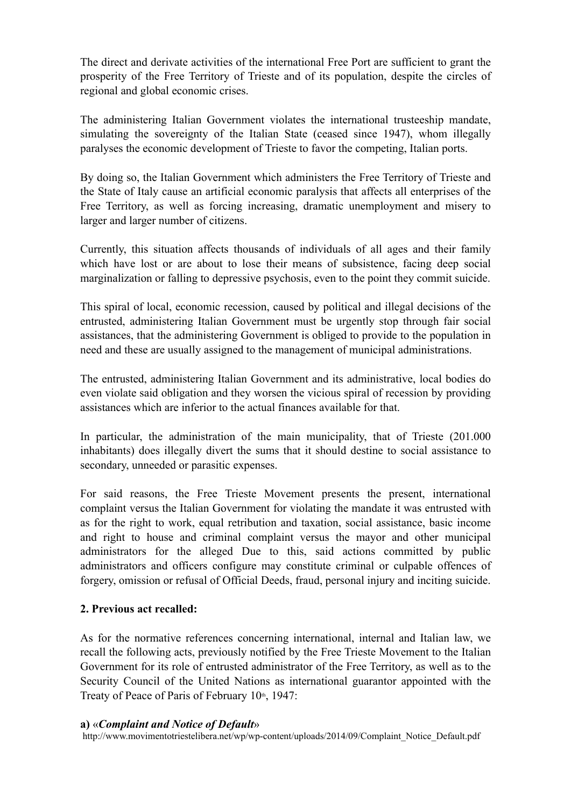The direct and derivate activities of the international Free Port are sufficient to grant the prosperity of the Free Territory of Trieste and of its population, despite the circles of regional and global economic crises.

The administering Italian Government violates the international trusteeship mandate, simulating the sovereignty of the Italian State (ceased since 1947), whom illegally paralyses the economic development of Trieste to favor the competing, Italian ports.

By doing so, the Italian Government which administers the Free Territory of Trieste and the State of Italy cause an artificial economic paralysis that affects all enterprises of the Free Territory, as well as forcing increasing, dramatic unemployment and misery to larger and larger number of citizens.

Currently, this situation affects thousands of individuals of all ages and their family which have lost or are about to lose their means of subsistence, facing deep social marginalization or falling to depressive psychosis, even to the point they commit suicide.

This spiral of local, economic recession, caused by political and illegal decisions of the entrusted, administering Italian Government must be urgently stop through fair social assistances, that the administering Government is obliged to provide to the population in need and these are usually assigned to the management of municipal administrations.

The entrusted, administering Italian Government and its administrative, local bodies do even violate said obligation and they worsen the vicious spiral of recession by providing assistances which are inferior to the actual finances available for that.

In particular, the administration of the main municipality, that of Trieste (201.000 inhabitants) does illegally divert the sums that it should destine to social assistance to secondary, unneeded or parasitic expenses.

For said reasons, the Free Trieste Movement presents the present, international complaint versus the Italian Government for violating the mandate it was entrusted with as for the right to work, equal retribution and taxation, social assistance, basic income and right to house and criminal complaint versus the mayor and other municipal administrators for the alleged Due to this, said actions committed by public administrators and officers configure may constitute criminal or culpable offences of forgery, omission or refusal of Official Deeds, fraud, personal injury and inciting suicide.

### **2. Previous act recalled:**

As for the normative references concerning international, internal and Italian law, we recall the following acts, previously notified by the Free Trieste Movement to the Italian Government for its role of entrusted administrator of the Free Territory, as well as to the Security Council of the United Nations as international guarantor appointed with the Treaty of Peace of Paris of February  $10<sup>th</sup>$ , 1947:

#### **a)** «*Complaint and Notice of Default*»

http://www.movimentotriestelibera.net/wp/wp-content/uploads/2014/09/Complaint\_Notice\_Default.pdf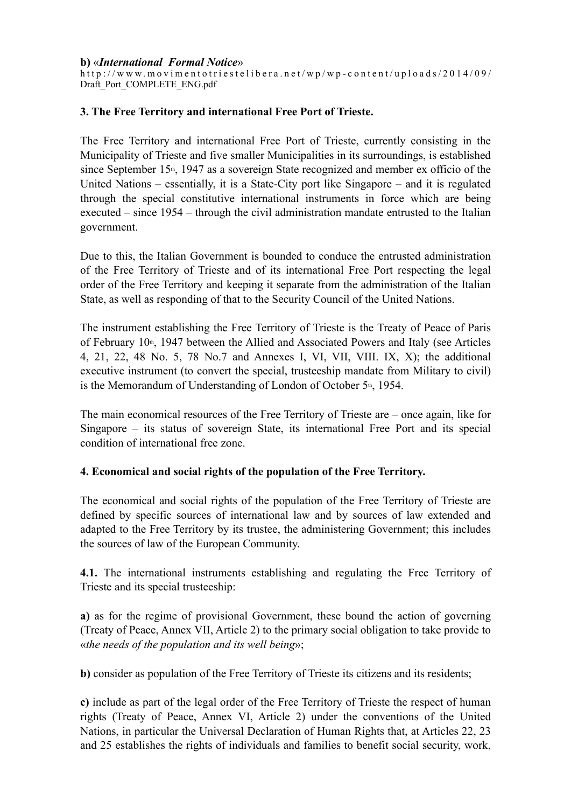#### **b)** «*International Formal Notice*»

http://www.movimentotriestelibera.net/wp/wp-content/uploads/2014/09/ Draft\_Port\_COMPLETE\_ENG.pdf

#### **3. The Free Territory and international Free Port of Trieste.**

The Free Territory and international Free Port of Trieste, currently consisting in the Municipality of Trieste and five smaller Municipalities in its surroundings, is established since September  $15<sup>th</sup>$ , 1947 as a sovereign State recognized and member ex officio of the United Nations – essentially, it is a State-City port like Singapore – and it is regulated through the special constitutive international instruments in force which are being executed – since 1954 – through the civil administration mandate entrusted to the Italian government.

Due to this, the Italian Government is bounded to conduce the entrusted administration of the Free Territory of Trieste and of its international Free Port respecting the legal order of the Free Territory and keeping it separate from the administration of the Italian State, as well as responding of that to the Security Council of the United Nations.

The instrument establishing the Free Territory of Trieste is the Treaty of Peace of Paris of February  $10<sup>th</sup>$ , 1947 between the Allied and Associated Powers and Italy (see Articles 4, 21, 22, 48 No. 5, 78 No.7 and Annexes I, VI, VII, VIII. IX, X); the additional executive instrument (to convert the special, trusteeship mandate from Military to civil) is the Memorandum of Understanding of London of October  $5<sup>th</sup>$ , 1954.

The main economical resources of the Free Territory of Trieste are – once again, like for Singapore – its status of sovereign State, its international Free Port and its special condition of international free zone.

#### **4. Economical and social rights of the population of the Free Territory.**

The economical and social rights of the population of the Free Territory of Trieste are defined by specific sources of international law and by sources of law extended and adapted to the Free Territory by its trustee, the administering Government; this includes the sources of law of the European Community.

**4.1.** The international instruments establishing and regulating the Free Territory of Trieste and its special trusteeship:

**a)** as for the regime of provisional Government, these bound the action of governing (Treaty of Peace, Annex VII, Article 2) to the primary social obligation to take provide to «*the needs of the population and its well being*»;

**b)** consider as population of the Free Territory of Trieste its citizens and its residents;

**c)** include as part of the legal order of the Free Territory of Trieste the respect of human rights (Treaty of Peace, Annex VI, Article 2) under the conventions of the United Nations, in particular the Universal Declaration of Human Rights that, at Articles 22, 23 and 25 establishes the rights of individuals and families to benefit social security, work,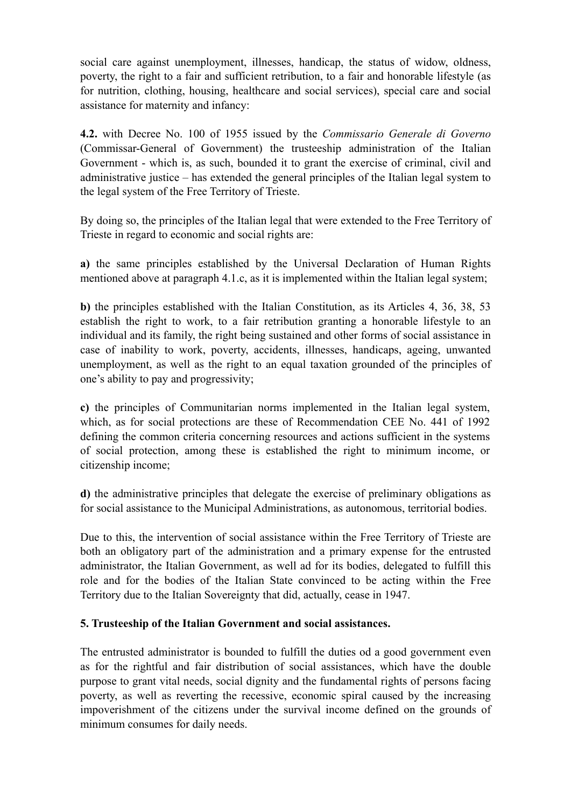social care against unemployment, illnesses, handicap, the status of widow, oldness, poverty, the right to a fair and sufficient retribution, to a fair and honorable lifestyle (as for nutrition, clothing, housing, healthcare and social services), special care and social assistance for maternity and infancy:

**4.2.** with Decree No. 100 of 1955 issued by the *Commissario Generale di Governo* (Commissar-General of Government) the trusteeship administration of the Italian Government - which is, as such, bounded it to grant the exercise of criminal, civil and administrative justice – has extended the general principles of the Italian legal system to the legal system of the Free Territory of Trieste.

By doing so, the principles of the Italian legal that were extended to the Free Territory of Trieste in regard to economic and social rights are:

**a)** the same principles established by the Universal Declaration of Human Rights mentioned above at paragraph 4.1.c, as it is implemented within the Italian legal system;

**b)** the principles established with the Italian Constitution, as its Articles 4, 36, 38, 53 establish the right to work, to a fair retribution granting a honorable lifestyle to an individual and its family, the right being sustained and other forms of social assistance in case of inability to work, poverty, accidents, illnesses, handicaps, ageing, unwanted unemployment, as well as the right to an equal taxation grounded of the principles of one's ability to pay and progressivity;

**c)** the principles of Communitarian norms implemented in the Italian legal system, which, as for social protections are these of Recommendation CEE No. 441 of 1992 defining the common criteria concerning resources and actions sufficient in the systems of social protection, among these is established the right to minimum income, or citizenship income;

**d)** the administrative principles that delegate the exercise of preliminary obligations as for social assistance to the Municipal Administrations, as autonomous, territorial bodies.

Due to this, the intervention of social assistance within the Free Territory of Trieste are both an obligatory part of the administration and a primary expense for the entrusted administrator, the Italian Government, as well ad for its bodies, delegated to fulfill this role and for the bodies of the Italian State convinced to be acting within the Free Territory due to the Italian Sovereignty that did, actually, cease in 1947.

### **5. Trusteeship of the Italian Government and social assistances.**

The entrusted administrator is bounded to fulfill the duties od a good government even as for the rightful and fair distribution of social assistances, which have the double purpose to grant vital needs, social dignity and the fundamental rights of persons facing poverty, as well as reverting the recessive, economic spiral caused by the increasing impoverishment of the citizens under the survival income defined on the grounds of minimum consumes for daily needs.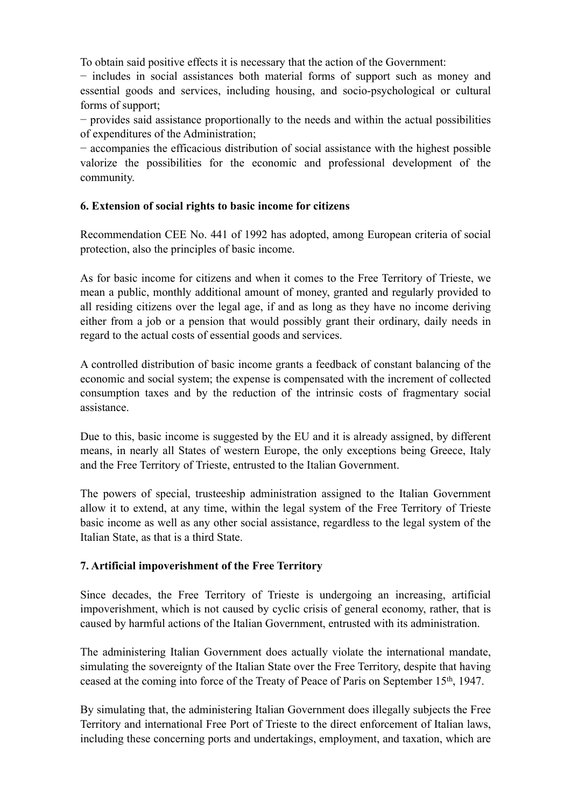To obtain said positive effects it is necessary that the action of the Government:

− includes in social assistances both material forms of support such as money and essential goods and services, including housing, and socio-psychological or cultural forms of support;

− provides said assistance proportionally to the needs and within the actual possibilities of expenditures of the Administration;

− accompanies the efficacious distribution of social assistance with the highest possible valorize the possibilities for the economic and professional development of the community.

# **6. Extension of social rights to basic income for citizens**

Recommendation CEE No. 441 of 1992 has adopted, among European criteria of social protection, also the principles of basic income.

As for basic income for citizens and when it comes to the Free Territory of Trieste, we mean a public, monthly additional amount of money, granted and regularly provided to all residing citizens over the legal age, if and as long as they have no income deriving either from a job or a pension that would possibly grant their ordinary, daily needs in regard to the actual costs of essential goods and services.

A controlled distribution of basic income grants a feedback of constant balancing of the economic and social system; the expense is compensated with the increment of collected consumption taxes and by the reduction of the intrinsic costs of fragmentary social assistance.

Due to this, basic income is suggested by the EU and it is already assigned, by different means, in nearly all States of western Europe, the only exceptions being Greece, Italy and the Free Territory of Trieste, entrusted to the Italian Government.

The powers of special, trusteeship administration assigned to the Italian Government allow it to extend, at any time, within the legal system of the Free Territory of Trieste basic income as well as any other social assistance, regardless to the legal system of the Italian State, as that is a third State.

# **7. Artificial impoverishment of the Free Territory**

Since decades, the Free Territory of Trieste is undergoing an increasing, artificial impoverishment, which is not caused by cyclic crisis of general economy, rather, that is caused by harmful actions of the Italian Government, entrusted with its administration.

The administering Italian Government does actually violate the international mandate, simulating the sovereignty of the Italian State over the Free Territory, despite that having ceased at the coming into force of the Treaty of Peace of Paris on September 15th, 1947.

By simulating that, the administering Italian Government does illegally subjects the Free Territory and international Free Port of Trieste to the direct enforcement of Italian laws, including these concerning ports and undertakings, employment, and taxation, which are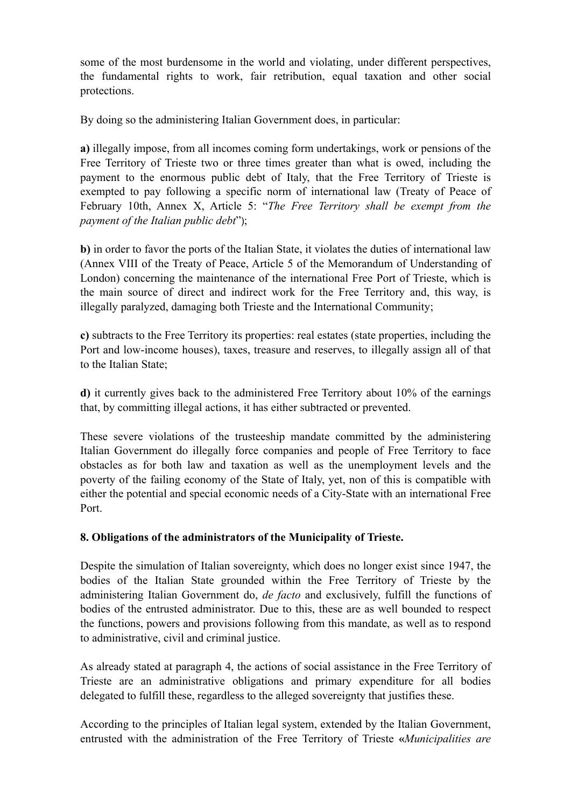some of the most burdensome in the world and violating, under different perspectives, the fundamental rights to work, fair retribution, equal taxation and other social protections.

By doing so the administering Italian Government does, in particular:

**a)** illegally impose, from all incomes coming form undertakings, work or pensions of the Free Territory of Trieste two or three times greater than what is owed, including the payment to the enormous public debt of Italy, that the Free Territory of Trieste is exempted to pay following a specific norm of international law (Treaty of Peace of February 10th, Annex X, Article 5: "*The Free Territory shall be exempt from the payment of the Italian public debt*");

**b)** in order to favor the ports of the Italian State, it violates the duties of international law (Annex VIII of the Treaty of Peace, Article 5 of the Memorandum of Understanding of London) concerning the maintenance of the international Free Port of Trieste, which is the main source of direct and indirect work for the Free Territory and, this way, is illegally paralyzed, damaging both Trieste and the International Community;

**c)** subtracts to the Free Territory its properties: real estates (state properties, including the Port and low-income houses), taxes, treasure and reserves, to illegally assign all of that to the Italian State;

**d)** it currently gives back to the administered Free Territory about 10% of the earnings that, by committing illegal actions, it has either subtracted or prevented.

These severe violations of the trusteeship mandate committed by the administering Italian Government do illegally force companies and people of Free Territory to face obstacles as for both law and taxation as well as the unemployment levels and the poverty of the failing economy of the State of Italy, yet, non of this is compatible with either the potential and special economic needs of a City-State with an international Free Port.

### **8. Obligations of the administrators of the Municipality of Trieste.**

Despite the simulation of Italian sovereignty, which does no longer exist since 1947, the bodies of the Italian State grounded within the Free Territory of Trieste by the administering Italian Government do, *de facto* and exclusively, fulfill the functions of bodies of the entrusted administrator. Due to this, these are as well bounded to respect the functions, powers and provisions following from this mandate, as well as to respond to administrative, civil and criminal justice.

As already stated at paragraph 4, the actions of social assistance in the Free Territory of Trieste are an administrative obligations and primary expenditure for all bodies delegated to fulfill these, regardless to the alleged sovereignty that justifies these.

According to the principles of Italian legal system, extended by the Italian Government, entrusted with the administration of the Free Territory of Trieste **«***Municipalities are*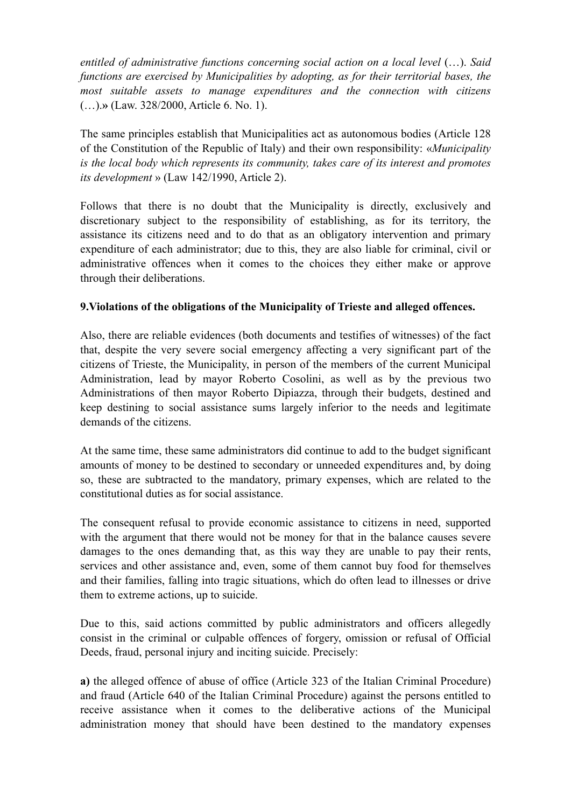*entitled of administrative functions concerning social action on a local level* (…). *Said functions are exercised by Municipalities by adopting, as for their territorial bases, the most suitable assets to manage expenditures and the connection with citizens* (…).**»** (Law. 328/2000, Article 6. No. 1).

The same principles establish that Municipalities act as autonomous bodies (Article 128 of the Constitution of the Republic of Italy) and their own responsibility: «*Municipality is the local body which represents its community, takes care of its interest and promotes its development* » (Law 142/1990, Article 2).

Follows that there is no doubt that the Municipality is directly, exclusively and discretionary subject to the responsibility of establishing, as for its territory, the assistance its citizens need and to do that as an obligatory intervention and primary expenditure of each administrator; due to this, they are also liable for criminal, civil or administrative offences when it comes to the choices they either make or approve through their deliberations.

# **9.Violations of the obligations of the Municipality of Trieste and alleged offences.**

Also, there are reliable evidences (both documents and testifies of witnesses) of the fact that, despite the very severe social emergency affecting a very significant part of the citizens of Trieste, the Municipality, in person of the members of the current Municipal Administration, lead by mayor Roberto Cosolini, as well as by the previous two Administrations of then mayor Roberto Dipiazza, through their budgets, destined and keep destining to social assistance sums largely inferior to the needs and legitimate demands of the citizens.

At the same time, these same administrators did continue to add to the budget significant amounts of money to be destined to secondary or unneeded expenditures and, by doing so, these are subtracted to the mandatory, primary expenses, which are related to the constitutional duties as for social assistance.

The consequent refusal to provide economic assistance to citizens in need, supported with the argument that there would not be money for that in the balance causes severe damages to the ones demanding that, as this way they are unable to pay their rents, services and other assistance and, even, some of them cannot buy food for themselves and their families, falling into tragic situations, which do often lead to illnesses or drive them to extreme actions, up to suicide.

Due to this, said actions committed by public administrators and officers allegedly consist in the criminal or culpable offences of forgery, omission or refusal of Official Deeds, fraud, personal injury and inciting suicide. Precisely:

**a)** the alleged offence of abuse of office (Article 323 of the Italian Criminal Procedure) and fraud (Article 640 of the Italian Criminal Procedure) against the persons entitled to receive assistance when it comes to the deliberative actions of the Municipal administration money that should have been destined to the mandatory expenses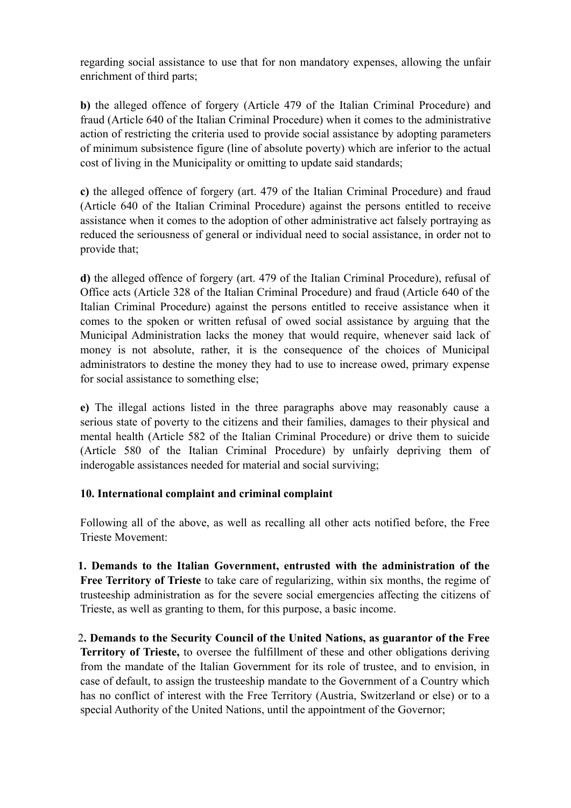regarding social assistance to use that for non mandatory expenses, allowing the unfair enrichment of third parts;

**b)** the alleged offence of forgery (Article 479 of the Italian Criminal Procedure) and fraud (Article 640 of the Italian Criminal Procedure) when it comes to the administrative action of restricting the criteria used to provide social assistance by adopting parameters of minimum subsistence figure (line of absolute poverty) which are inferior to the actual cost of living in the Municipality or omitting to update said standards;

**c)** the alleged offence of forgery (art. 479 of the Italian Criminal Procedure) and fraud (Article 640 of the Italian Criminal Procedure) against the persons entitled to receive assistance when it comes to the adoption of other administrative act falsely portraying as reduced the seriousness of general or individual need to social assistance, in order not to provide that;

**d)** the alleged offence of forgery (art. 479 of the Italian Criminal Procedure), refusal of Office acts (Article 328 of the Italian Criminal Procedure) and fraud (Article 640 of the Italian Criminal Procedure) against the persons entitled to receive assistance when it comes to the spoken or written refusal of owed social assistance by arguing that the Municipal Administration lacks the money that would require, whenever said lack of money is not absolute, rather, it is the consequence of the choices of Municipal administrators to destine the money they had to use to increase owed, primary expense for social assistance to something else;

**e)** The illegal actions listed in the three paragraphs above may reasonably cause a serious state of poverty to the citizens and their families, damages to their physical and mental health (Article 582 of the Italian Criminal Procedure) or drive them to suicide (Article 580 of the Italian Criminal Procedure) by unfairly depriving them of inderogable assistances needed for material and social surviving;

### **10. International complaint and criminal complaint**

Following all of the above, as well as recalling all other acts notified before, the Free Trieste Movement:

**1. Demands to the Italian Government, entrusted with the administration of the Free Territory of Trieste** to take care of regularizing, within six months, the regime of trusteeship administration as for the severe social emergencies affecting the citizens of Trieste, as well as granting to them, for this purpose, a basic income.

2**. Demands to the Security Council of the United Nations, as guarantor of the Free Territory of Trieste,** to oversee the fulfillment of these and other obligations deriving from the mandate of the Italian Government for its role of trustee, and to envision, in case of default, to assign the trusteeship mandate to the Government of a Country which has no conflict of interest with the Free Territory (Austria, Switzerland or else) or to a special Authority of the United Nations, until the appointment of the Governor;